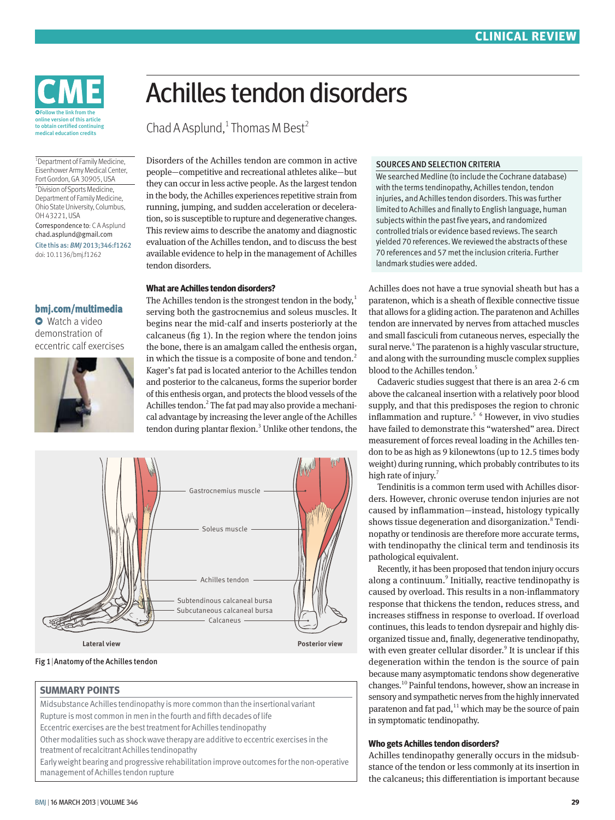

<sup>1</sup> Department of Family Medicine, Eisenhower Army Medical Center, Fort Gordon, GA 30905, USA 2 Division of Sports Medicine, Department of Family Medicine, Ohio State University, Columbus, OH 43221, USA Correspondence to: C A Asplund chad.asplund@gmail.com Cite this as: *BMJ* 2013;346:f1262 doi: 10.1136/bmj.f1262

## **bmj.com/multimedia**

 $\bullet$  Watch a video demonstration of eccentric calf exercises



# Achilles tendon disorders

Chad A Asplund, $1$ Thomas M Best<sup>2</sup>

Disorders of the Achilles tendon are common in active people—competitive and recreational athletes alike—but they can occur in less active people. As the largest tendon in the body, the Achilles experiences repetitive strain from running, jumping, and sudden acceleration or deceleration, so is susceptible to rupture and degenerative changes. This review aims to describe the anatomy and diagnostic evaluation of the Achilles tendon, and to discuss the best available evidence to help in the management of Achilles tendon disorders.

#### **What are Achilles tendon disorders?**

The Achilles tendon is the strongest tendon in the body, $<sup>1</sup>$ </sup> serving both the gastrocnemius and soleus muscles. It begins near the mid-calf and inserts posteriorly at the calcaneus (fig 1). In the region where the tendon joins the bone, there is an amalgam called the enthesis organ, in which the tissue is a composite of bone and tendon.<sup>2</sup> Kager's fat pad is located anterior to the Achilles tendon and posterior to the calcaneus, forms the superior border of this enthesis organ, and protects the blood vessels of the Achilles tendon.<sup>2</sup> The fat pad may also provide a mechanical advantage by increasing the lever angle of the Achilles tendon during plantar flexion.<sup>3</sup> Unlike other tendons, the



#### Fig 1|Anatomy of the Achilles tendon

#### **SUMMARY POINTS**

Midsubstance Achilles tendinopathy is more common than the insertional variant Rupture is most common in men in the fourth and fifth decades of life

Eccentric exercises are the best treatment for Achilles tendinopathy

Other modalities such as shock wave therapy are additive to eccentric exercises in the treatment of recalcitrant Achilles tendinopathy

Early weight bearing and progressive rehabilitation improve outcomes for the non-operative management of Achilles tendon rupture

## SOURCES AND SELECTION CRITERIA

We searched Medline (to include the Cochrane database) with the terms tendinopathy, Achilles tendon, tendon injuries, and Achilles tendon disorders. This was further limited to Achilles and finally to English language, human subjects within the past five years, and randomized controlled trials or evidence based reviews. The search yielded 70 references. We reviewed the abstracts of these 70 references and 57 met the inclusion criteria. Further landmark studies were added.

Achilles does not have a true synovial sheath but has a paratenon, which is a sheath of flexible connective tissue that allows for a gliding action. The paratenon and Achilles tendon are innervated by nerves from attached muscles and small fasciculi from cutaneous nerves, especially the sural nerve.<sup>4</sup> The paratenon is a highly vascular structure, and along with the surrounding muscle complex supplies blood to the Achilles tendon.<sup>5</sup>

Cadaveric studies suggest that there is an area 2-6 cm above the calcaneal insertion with a relatively poor blood supply, and that this predisposes the region to chronic inflammation and rupture.<sup>5</sup> <sup>6</sup> However, in vivo studies have failed to demonstrate this "watershed" area. Direct measurement of forces reveal loading in the Achilles tendon to be as high as 9 kilonewtons (up to 12.5 times body weight) during running, which probably contributes to its high rate of injury.<sup>7</sup>

Tendinitis is a common term used with Achilles disorders. However, chronic overuse tendon injuries are not caused by inflammation—instead, histology typically shows tissue degeneration and disorganization.<sup>8</sup> Tendinopathy or tendinosis are therefore more accurate terms, with tendinopathy the clinical term and tendinosis its pathological equivalent.

Recently, it has been proposed that tendon injury occurs along a continuum.<sup>9</sup> Initially, reactive tendinopathy is caused by overload. This results in a non-inflammatory response that thickens the tendon, reduces stress, and increases stiffness in response to overload. If overload continues, this leads to tendon dysrepair and highly disorganized tissue and, finally, degenerative tendinopathy, with even greater cellular disorder.<sup>9</sup> It is unclear if this degeneration within the tendon is the source of pain because many asymptomatic tendons show degenerative changes.10 Painful tendons, however, show an increase in sensory and sympathetic nerves from the highly innervated paratenon and fat pad, $11$  which may be the source of pain in symptomatic tendinopathy.

# **Who gets Achilles tendon disorders?**

Achilles tendinopathy generally occurs in the midsubstance of the tendon or less commonly at its insertion in the calcaneus; this differentiation is important because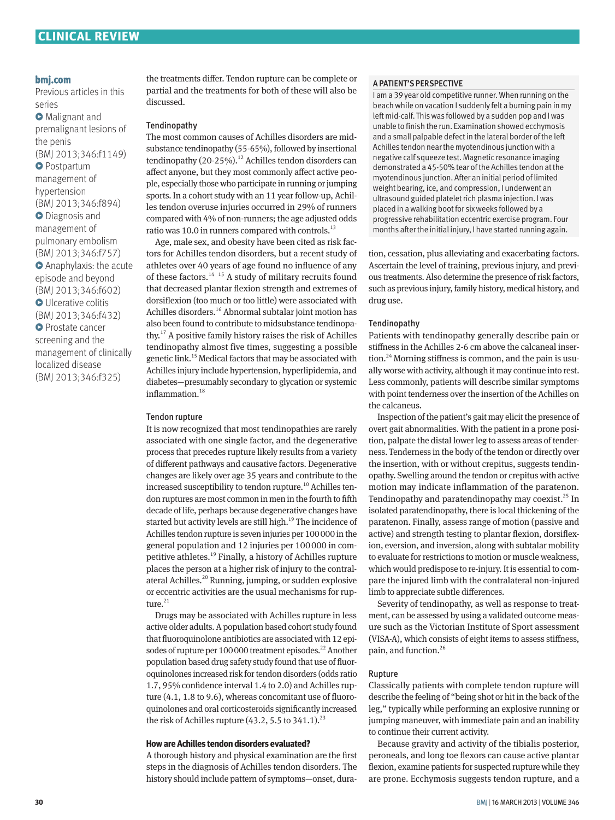#### **bmj.com**

Previous articles in this series

**O** Malignant and premalignant lesions of the penis (BMJ 2013;346:f1149) **O** Postpartum management of hypertension (BMJ 2013;346:f894)  $\bullet$  Diagnosis and management of pulmonary embolism (BMJ 2013;346:f757) **O** Anaphylaxis: the acute episode and beyond (BMJ 2013;346:f602) **O** Ulcerative colitis (BMJ 2013;346:f432) **O** Prostate cancer screening and the management of clinically localized disease (BMJ 2013;346:f325)

the treatments differ. Tendon rupture can be complete or partial and the treatments for both of these will also be discussed.

#### Tendinopathy

The most common causes of Achilles disorders are midsubstance tendinopathy (55-65%), followed by insertional tendinopathy  $(20-25%)$ .<sup>12</sup> Achilles tendon disorders can affect anyone, but they most commonly affect active people, especially those who participate in running or jumping sports. In a cohort study with an 11 year follow-up, Achilles tendon overuse injuries occurred in 29% of runners compared with 4% of non-runners; the age adjusted odds ratio was 10.0 in runners compared with controls.<sup>13</sup>

Age, male sex, and obesity have been cited as risk factors for Achilles tendon disorders, but a recent study of athletes over 40 years of age found no influence of any of these factors.  $^{\rm 14}$   $^{\rm 15}$  A study of military recruits found that decreased plantar flexion strength and extremes of dorsiflexion (too much or too little) were associated with Achilles disorders.<sup>16</sup> Abnormal subtalar joint motion has also been found to contribute to midsubstance tendinopathy.17 A positive family history raises the risk of Achilles tendinopathy almost five times, suggesting a possible genetic link.15 Medical factors that may be associated with Achilles injury include hypertension, hyperlipidemia, and diabetes—presumably secondary to glycation or systemic inflammation. $18$ 

#### Tendon rupture

It is now recognized that most tendinopathies are rarely associated with one single factor, and the degenerative process that precedes rupture likely results from a variety of different pathways and causative factors. Degenerative changes are likely over age 35 years and contribute to the increased susceptibility to tendon rupture.<sup>10</sup> Achilles tendon ruptures are most common in men in the fourth to fifth decade of life, perhaps because degenerative changes have started but activity levels are still high.<sup>19</sup> The incidence of Achilles tendon rupture is seven injuries per 100000 in the general population and 12 injuries per 100000 in competitive athletes.19 Finally, a history of Achilles rupture places the person at a higher risk of injury to the contralateral Achilles.<sup>20</sup> Running, jumping, or sudden explosive or eccentric activities are the usual mechanisms for rupture. $21$ 

Drugs may be associated with Achilles rupture in less active older adults. A population based cohort study found that fluoroquinolone antibiotics are associated with 12 episodes of rupture per 100 000 treatment episodes.<sup>22</sup> Another population based drug safety study found that use of fluoroquinolones increased risk for tendon disorders (odds ratio 1.7, 95% confidence interval 1.4 to 2.0) and Achilles rupture (4.1, 1.8 to 9.6), whereas concomitant use of fluoroquinolones and oral corticosteroids significantly increased the risk of Achilles rupture (43.2, 5.5 to 341.1).<sup>23</sup>

#### **How are Achilles tendon disorders evaluated?**

A thorough history and physical examination are the first steps in the diagnosis of Achilles tendon disorders. The history should include pattern of symptoms—onset, dura-

# A PATIENT'S PERSPECTIVE

I am a 39 year old competitive runner. When running on the beach while on vacation I suddenly felt a burning pain in my left mid-calf. This was followed by a sudden pop and I was unable to finish the run. Examination showed ecchymosis and a small palpable defect in the lateral border of the left Achilles tendon near the myotendinous junction with a negative calf squeeze test. Magnetic resonance imaging demonstrated a 45-50% tear of the Achilles tendon at the myotendinous junction. After an initial period of limited weight bearing, ice, and compression, I underwent an ultrasound guided platelet rich plasma injection. I was placed in a walking boot for six weeks followed by a progressive rehabilitation eccentric exercise program. Four months after the initial injury, I have started running again.

tion, cessation, plus alleviating and exacerbating factors. Ascertain the level of training, previous injury, and previous treatments. Also determine the presence of risk factors, such as previous injury, family history, medical history, and drug use.

#### Tendinopathy

Patients with tendinopathy generally describe pain or stiffness in the Achilles 2-6 cm above the calcaneal insertion.<sup>24</sup> Morning stiffness is common, and the pain is usually worse with activity, although it may continue into rest. Less commonly, patients will describe similar symptoms with point tenderness over the insertion of the Achilles on the calcaneus.

Inspection of the patient's gait may elicit the presence of overt gait abnormalities. With the patient in a prone position, palpate the distal lower leg to assess areas of tenderness. Tenderness in the body of the tendon or directly over the insertion, with or without crepitus, suggests tendinopathy. Swelling around the tendon or crepitus with active motion may indicate inflammation of the paratenon. Tendinopathy and paratendinopathy may coexist.<sup>25</sup> In isolated paratendinopathy, there is local thickening of the paratenon. Finally, assess range of motion (passive and active) and strength testing to plantar flexion, dorsiflexion, eversion, and inversion, along with subtalar mobility to evaluate for restrictions to motion or muscle weakness, which would predispose to re-injury. It is essential to compare the injured limb with the contralateral non-injured limb to appreciate subtle differences.

Severity of tendinopathy, as well as response to treatment, can be assessed by using a validated outcome measure such as the Victorian Institute of Sport assessment (VISA-A), which consists of eight items to assess stiffness, pain, and function.<sup>26</sup>

#### Rupture

Classically patients with complete tendon rupture will describe the feeling of "being shot or hit in the back of the leg," typically while performing an explosive running or jumping maneuver, with immediate pain and an inability to continue their current activity.

Because gravity and activity of the tibialis posterior, peroneals, and long toe flexors can cause active plantar flexion, examine patients for suspected rupture while they are prone. Ecchymosis suggests tendon rupture, and a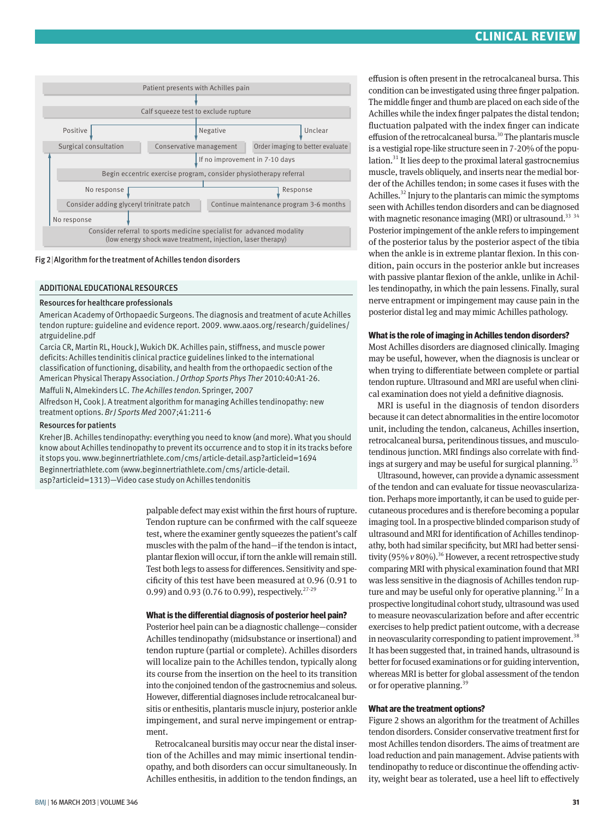

Fig 2|Algorithm for the treatment of Achilles tendon disorders

#### ADDITIONAL EDUCATIONAL RESOURCES

#### Resources for healthcare professionals

American Academy of Orthopaedic Surgeons. The diagnosis and treatment of acute Achilles tendon rupture: guideline and evidence report. 2009. www.aaos.org/research/guidelines/ atrguideline.pdf

Carcia CR, Martin RL, Houck J, Wukich DK. Achilles pain, stiffness, and muscle power deficits: Achilles tendinitis clinical practice guidelines linked to the international classification of functioning, disability, and health from the orthopaedic section of the American Physical Therapy Association. *J Orthop Sports Phys Ther* 2010:40:A1-26.

Maffuli N, Almekinders LC. The Achilles tendon. Springer, 2007

Alfredson H, Cook J. A treatment algorithm for managing Achilles tendinopathy: new treatment options. *Br J Sports Med* 2007;41:211-6

#### Resources for patients

Kreher JB. Achilles tendinopathy: everything you need to know (and more). What you should know about Achilles tendinopathy to prevent its occurrence and to stop it in its tracks before it stops you. www.beginnertriathlete.com/cms/article-detail.asp?articleid=1694 Beginnertriathlete.com (www.beginnertriathlete.com/cms/article-detail. asp?articleid=1313)—Video case study on Achilles tendonitis

> palpable defect may exist within the first hours of rupture. Tendon rupture can be confirmed with the calf squeeze test, where the examiner gently squeezes the patient's calf muscles with the palm of the hand—if the tendon is intact, plantar flexion will occur, if torn the ankle will remain still. Test both legs to assess for differences. Sensitivity and specificity of this test have been measured at 0.96 (0.91 to 0.99) and 0.93 (0.76 to 0.99), respectively.<sup>27-29</sup>

# **What is the differential diagnosis of posterior heel pain?**

Posterior heel pain can be a diagnostic challenge—consider Achilles tendinopathy (midsubstance or insertional) and tendon rupture (partial or complete). Achilles disorders will localize pain to the Achilles tendon, typically along its course from the insertion on the heel to its transition into the conjoined tendon of the gastrocnemius and soleus. However, differential diagnoses include retrocalcaneal bursitis or enthesitis, plantaris muscle injury, posterior ankle impingement, and sural nerve impingement or entrapment.

Retrocalcaneal bursitis may occur near the distal insertion of the Achilles and may mimic insertional tendinopathy, and both disorders can occur simultaneously. In Achilles enthesitis, in addition to the tendon findings, an effusion is often present in the retrocalcaneal bursa. This condition can be investigated using three finger palpation. The middle finger and thumb are placed on each side of the Achilles while the index finger palpates the distal tendon; fluctuation palpated with the index finger can indicate effusion of the retrocalcaneal bursa.<sup>30</sup> The plantaris muscle is a vestigial rope-like structure seen in 7-20% of the population.<sup>31</sup> It lies deep to the proximal lateral gastrocnemius muscle, travels obliquely, and inserts near the medial border of the Achilles tendon; in some cases it fuses with the Achilles.<sup>32</sup> Injury to the plantaris can mimic the symptoms seen with Achilles tendon disorders and can be diagnosed with magnetic resonance imaging (MRI) or ultrasound.<sup>33 34</sup> Posterior impingement of the ankle refers to impingement of the posterior talus by the posterior aspect of the tibia when the ankle is in extreme plantar flexion. In this condition, pain occurs in the posterior ankle but increases with passive plantar flexion of the ankle, unlike in Achilles tendinopathy, in which the pain lessens. Finally, sural nerve entrapment or impingement may cause pain in the posterior distal leg and may mimic Achilles pathology.

#### **What is the role of imaging in Achilles tendon disorders?**

Most Achilles disorders are diagnosed clinically. Imaging may be useful, however, when the diagnosis is unclear or when trying to differentiate between complete or partial tendon rupture. Ultrasound and MRI are useful when clinical examination does not yield a definitive diagnosis.

MRI is useful in the diagnosis of tendon disorders because it can detect abnormalities in the entire locomotor unit, including the tendon, calcaneus, Achilles insertion, retrocalcaneal bursa, peritendinous tissues, and musculotendinous junction. MRI findings also correlate with findings at surgery and may be useful for surgical planning.<sup>35</sup>

Ultrasound, however, can provide a dynamic assessment of the tendon and can evaluate for tissue neovascularization. Perhaps more importantly, it can be used to guide percutaneous procedures and is therefore becoming a popular imaging tool. In a prospective blinded comparison study of ultrasound and MRI for identification of Achilles tendinopathy, both had similar specificity, but MRI had better sensitivity (95% *v* 80%).<sup>36</sup> However, a recent retrospective study comparing MRI with physical examination found that MRI was less sensitive in the diagnosis of Achilles tendon rupture and may be useful only for operative planning.<sup>37</sup> In a prospective longitudinal cohort study, ultrasound was used to measure neovascularization before and after eccentric exercises to help predict patient outcome, with a decrease in neovascularity corresponding to patient improvement.<sup>38</sup> It has been suggested that, in trained hands, ultrasound is better for focused examinations or for guiding intervention, whereas MRI is better for global assessment of the tendon or for operative planning.<sup>39</sup>

## **What are the treatment options?**

Figure 2 shows an algorithm for the treatment of Achilles tendon disorders. Consider conservative treatment first for most Achilles tendon disorders. The aims of treatment are load reduction and pain management. Advise patients with tendinopathy to reduce or discontinue the offending activity, weight bear as tolerated, use a heel lift to effectively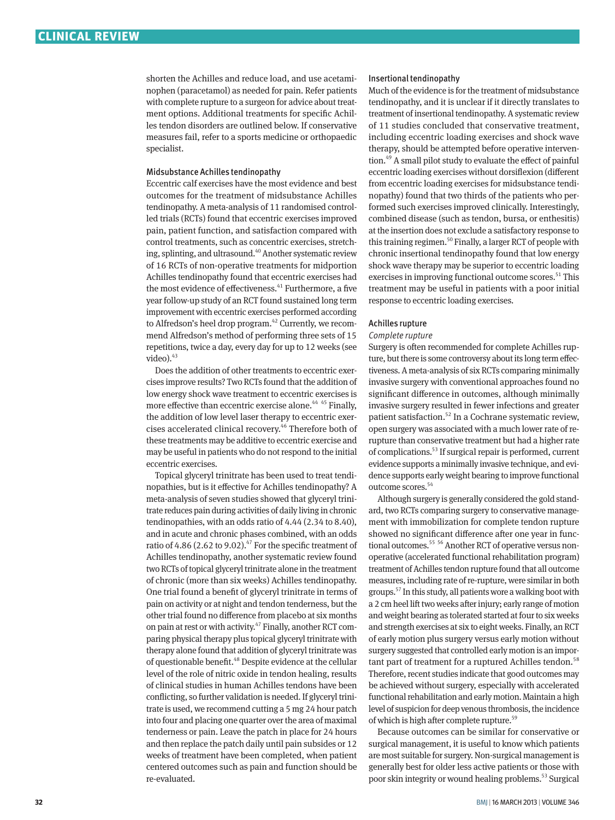shorten the Achilles and reduce load, and use acetaminophen (paracetamol) as needed for pain. Refer patients with complete rupture to a surgeon for advice about treatment options. Additional treatments for specific Achilles tendon disorders are outlined below. If conservative measures fail, refer to a sports medicine or orthopaedic specialist.

#### Midsubstance Achilles tendinopathy

Eccentric calf exercises have the most evidence and best outcomes for the treatment of midsubstance Achilles tendinopathy. A meta-analysis of 11 randomised controlled trials (RCTs) found that eccentric exercises improved pain, patient function, and satisfaction compared with control treatments, such as concentric exercises, stretching, splinting, and ultrasound.<sup>40</sup> Another systematic review of 16 RCTs of non-operative treatments for midportion Achilles tendinopathy found that eccentric exercises had the most evidence of effectiveness.<sup>41</sup> Furthermore, a five year follow-up study of an RCT found sustained long term improvement with eccentric exercises performed according to Alfredson's heel drop program.<sup>42</sup> Currently, we recommend Alfredson's method of performing three sets of 15 repetitions, twice a day, every day for up to 12 weeks (see  $video).$ <sup>43</sup>

Does the addition of other treatments to eccentric exercises improve results? Two RCTs found that the addition of low energy shock wave treatment to eccentric exercises is more effective than eccentric exercise alone.<sup>44 45</sup> Finally, the addition of low level laser therapy to eccentric exercises accelerated clinical recovery.<sup>46</sup> Therefore both of these treatments may be additive to eccentric exercise and may be useful in patients who do not respond to the initial eccentric exercises.

Topical glyceryl trinitrate has been used to treat tendinopathies, but is it effective for Achilles tendinopathy? A meta-analysis of seven studies showed that glyceryl trinitrate reduces pain during activities of daily living in chronic tendinopathies, with an odds ratio of 4.44 (2.34 to 8.40), and in acute and chronic phases combined, with an odds ratio of 4.86 (2.62 to 9.02).<sup>47</sup> For the specific treatment of Achilles tendinopathy, another systematic review found two RCTs of topical glyceryl trinitrate alone in the treatment of chronic (more than six weeks) Achilles tendinopathy. One trial found a benefit of glyceryl trinitrate in terms of pain on activity or at night and tendon tenderness, but the other trial found no difference from placebo at six months on pain at rest or with activity.<sup>47</sup> Finally, another RCT comparing physical therapy plus topical glyceryl trinitrate with therapy alone found that addition of glyceryl trinitrate was of questionable benefit.<sup>48</sup> Despite evidence at the cellular level of the role of nitric oxide in tendon healing, results of clinical studies in human Achilles tendons have been conflicting, so further validation is needed. If glyceryl trinitrate is used, we recommend cutting a 5 mg 24 hour patch into four and placing one quarter over the area of maximal tenderness or pain. Leave the patch in place for 24 hours and then replace the patch daily until pain subsides or 12 weeks of treatment have been completed, when patient centered outcomes such as pain and function should be re-evaluated.

## Insertional tendinopathy

Much of the evidence is for the treatment of midsubstance tendinopathy, and it is unclear if it directly translates to treatment of insertional tendinopathy. A systematic review of 11 studies concluded that conservative treatment, including eccentric loading exercises and shock wave therapy, should be attempted before operative intervention.49 A small pilot study to evaluate the effect of painful eccentric loading exercises without dorsiflexion (different from eccentric loading exercises for midsubstance tendinopathy) found that two thirds of the patients who performed such exercises improved clinically. Interestingly, combined disease (such as tendon, bursa, or enthesitis) at the insertion does not exclude a satisfactory response to this training regimen.<sup>50</sup> Finally, a larger RCT of people with chronic insertional tendinopathy found that low energy shock wave therapy may be superior to eccentric loading exercises in improving functional outcome scores.<sup>51</sup> This treatment may be useful in patients with a poor initial response to eccentric loading exercises.

#### Achilles rupture

# *Complete rupture*

Surgery is often recommended for complete Achilles rupture, but there is some controversy about its long term effectiveness. A meta-analysis of six RCTs comparing minimally invasive surgery with conventional approaches found no significant difference in outcomes, although minimally invasive surgery resulted in fewer infections and greater patient satisfaction.<sup>52</sup> In a Cochrane systematic review, open surgery was associated with a much lower rate of rerupture than conservative treatment but had a higher rate of complications.53 If surgical repair is performed, current evidence supports a minimally invasive technique, and evidence supports early weight bearing to improve functional outcome scores.<sup>54</sup>

Although surgery is generally considered the gold standard, two RCTs comparing surgery to conservative management with immobilization for complete tendon rupture showed no significant difference after one year in functional outcomes.<sup>55</sup> <sup>56</sup> Another RCT of operative versus nonoperative (accelerated functional rehabilitation program) treatment of Achilles tendon rupture found that all outcome measures, including rate of re-rupture, were similar in both groups.57 In this study, all patients wore a walking boot with a 2 cm heel lift two weeks after injury; early range of motion and weight bearing as tolerated started at four to six weeks and strength exercises at six to eight weeks. Finally, an RCT of early motion plus surgery versus early motion without surgery suggested that controlled early motion is an important part of treatment for a ruptured Achilles tendon.<sup>58</sup> Therefore, recent studies indicate that good outcomes may be achieved without surgery, especially with accelerated functional rehabilitation and early motion. Maintain a high level of suspicion for deep venous thrombosis, the incidence of which is high after complete rupture.<sup>59</sup>

Because outcomes can be similar for conservative or surgical management, it is useful to know which patients are most suitable for surgery. Non-surgical management is generally best for older less active patients or those with poor skin integrity or wound healing problems.<sup>53</sup> Surgical